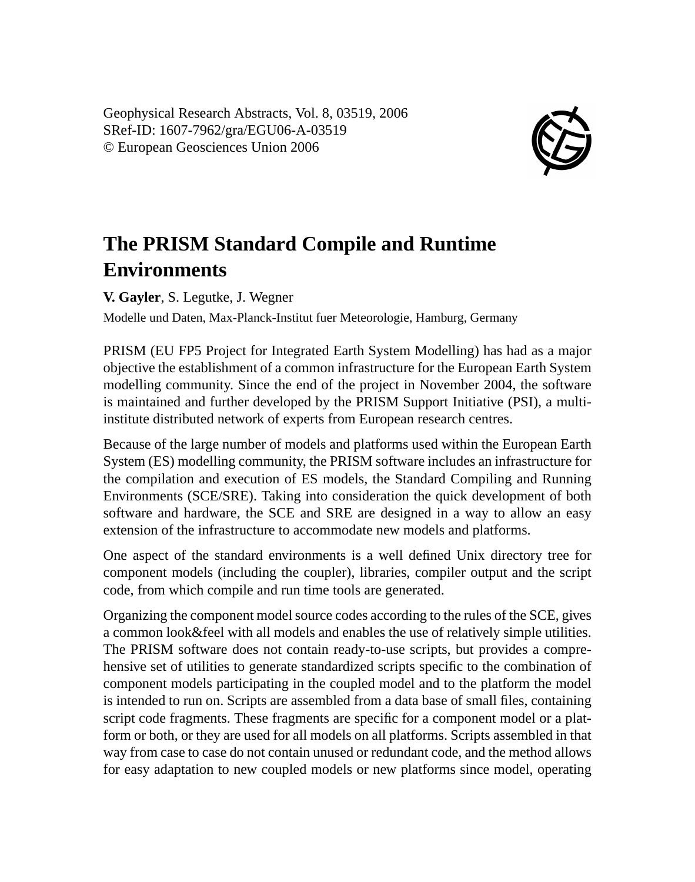Geophysical Research Abstracts, Vol. 8, 03519, 2006 SRef-ID: 1607-7962/gra/EGU06-A-03519 © European Geosciences Union 2006



## **The PRISM Standard Compile and Runtime Environments**

**V. Gayler**, S. Legutke, J. Wegner

Modelle und Daten, Max-Planck-Institut fuer Meteorologie, Hamburg, Germany

PRISM (EU FP5 Project for Integrated Earth System Modelling) has had as a major objective the establishment of a common infrastructure for the European Earth System modelling community. Since the end of the project in November 2004, the software is maintained and further developed by the PRISM Support Initiative (PSI), a multiinstitute distributed network of experts from European research centres.

Because of the large number of models and platforms used within the European Earth System (ES) modelling community, the PRISM software includes an infrastructure for the compilation and execution of ES models, the Standard Compiling and Running Environments (SCE/SRE). Taking into consideration the quick development of both software and hardware, the SCE and SRE are designed in a way to allow an easy extension of the infrastructure to accommodate new models and platforms.

One aspect of the standard environments is a well defined Unix directory tree for component models (including the coupler), libraries, compiler output and the script code, from which compile and run time tools are generated.

Organizing the component model source codes according to the rules of the SCE, gives a common look&feel with all models and enables the use of relatively simple utilities. The PRISM software does not contain ready-to-use scripts, but provides a comprehensive set of utilities to generate standardized scripts specific to the combination of component models participating in the coupled model and to the platform the model is intended to run on. Scripts are assembled from a data base of small files, containing script code fragments. These fragments are specific for a component model or a platform or both, or they are used for all models on all platforms. Scripts assembled in that way from case to case do not contain unused or redundant code, and the method allows for easy adaptation to new coupled models or new platforms since model, operating